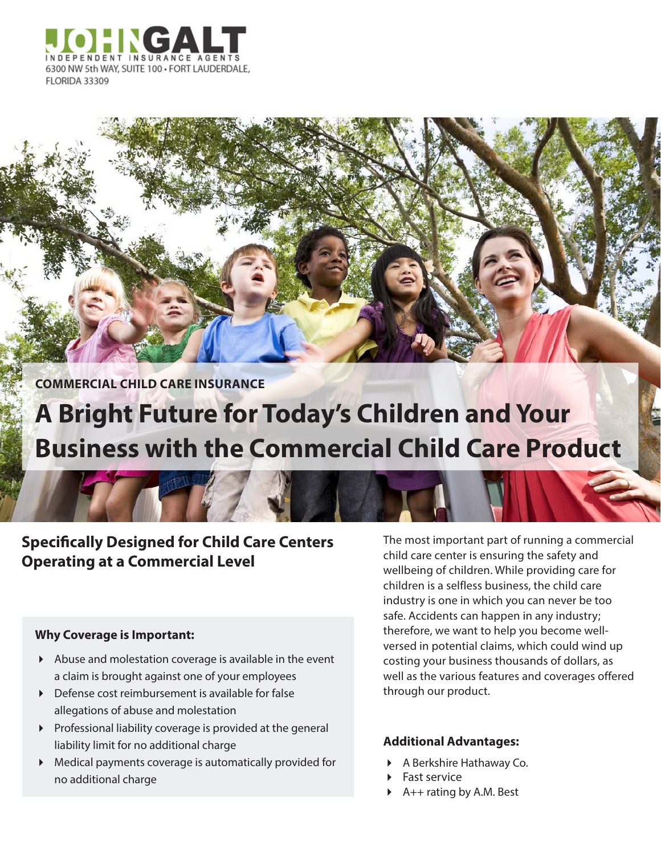

**COMMERCIAL CHILD CARE INSURANCE**

# **A Bright Future for Today's Children and Your Business with the Commercial Child Care Product**

**Specifically Designed for Child Care Centers Operating at a Commercial Level**

### **Why Coverage is Important:**

- Abuse and molestation coverage is available in the event a claim is brought against one of your employees
- Defense cost reimbursement is available for false allegations of abuse and molestation
- $\triangleright$  Professional liability coverage is provided at the general liability limit for no additional charge
- Medical payments coverage is automatically provided for no additional charge

The most important part of running a commercial child care center is ensuring the safety and wellbeing of children. While providing care for children is a selfless business, the child care industry is one in which you can never be too safe. Accidents can happen in any industry; therefore, we want to help you become wellversed in potential claims, which could wind up costing your business thousands of dollars, as well as the various features and coverages offered through our product.

## **Additional Advantages:**

- A Berkshire Hathaway Co.
- Fast service
- A++ rating by A.M. Best